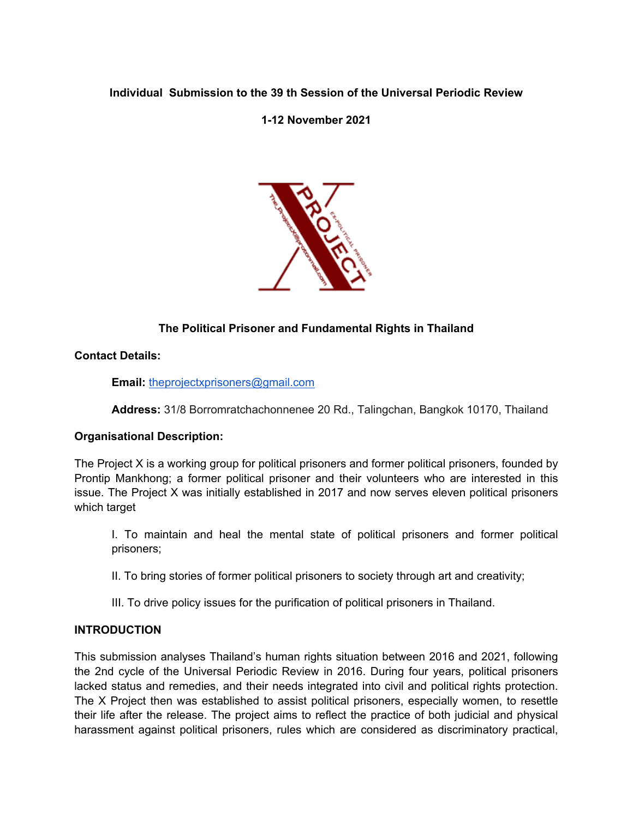### **Individual Submission to the 39 th Session of the Universal Periodic Review**

**1-12 November 2021**



# **The Political Prisoner and Fundamental Rights in Thailand**

**Contact Details:**

**Email:** [theprojectxprisoners@gmail.com](mailto:theprojectxprisoners@gmail.com)

**Address:** 31/8 Borromratchachonnenee 20 Rd., Talingchan, Bangkok 10170, Thailand

### **Organisational Description:**

The Project X is <sup>a</sup> working group for political prisoners and former political prisoners, founded by Prontip Mankhong; <sup>a</sup> former political prisoner and their volunteers who are interested in this issue. The Project X was initially established in 2017 and now serves eleven political prisoners which target

I. To maintain and heal the mental state of political prisoners and former political prisoners;

II. To bring stories of former political prisoners to society through art and creativity;

III. To drive policy issues for the purification of political prisoners in Thailand.

### **INTRODUCTION**

This submission analyses Thailand'<sup>s</sup> human rights situation between 2016 and 2021, following the 2nd cycle of the Universal Periodic Review in 2016. During four years, political prisoners lacked status and remedies, and their needs integrated into civil and political rights protection. The X Project then was established to assist political prisoners, especially women, to resettle their life after the release. The project aims to reflect the practice of both judicial and physical harassment against political prisoners, rules which are considered as discriminatory practical,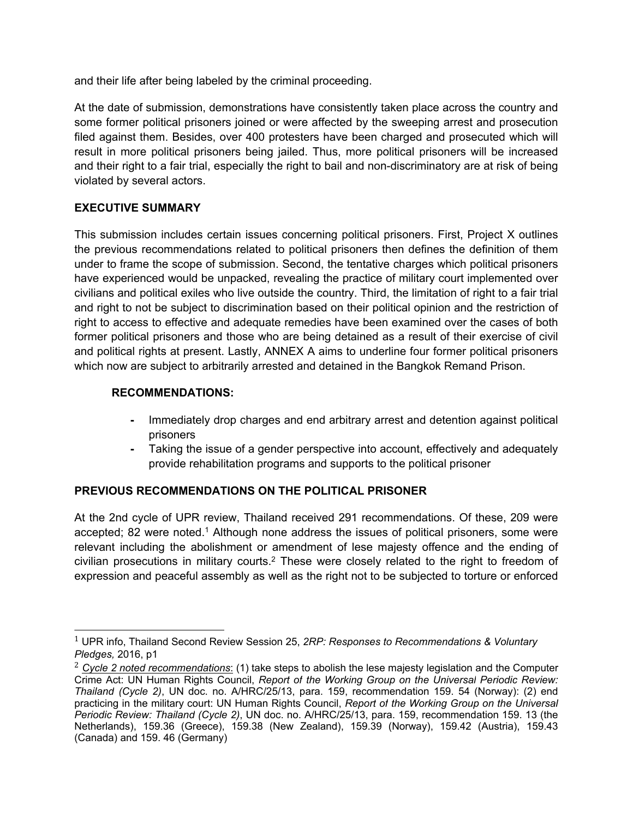and their life after being labeled by the criminal proceeding.

At the date of submission, demonstrations have consistently taken place across the country and some former political prisoners joined or were affected by the sweeping arrest and prosecution filed against them. Besides, over 400 protesters have been charged and prosecuted which will result in more political prisoners being jailed. Thus, more political prisoners will be increased and their right to <sup>a</sup> fair trial, especially the right to bail and non-discriminatory are at risk of being violated by several actors.

## **EXECUTIVE SUMMARY**

This submission includes certain issues concerning political prisoners. First, Project X outlines the previous recommendations related to political prisoners then defines the definition of them under to frame the scope of submission. Second, the tentative charges which political prisoners have experienced would be unpacked, revealing the practice of military court implemented over civilians and political exiles who live outside the country. Third, the limitation of right to <sup>a</sup> fair trial and right to not be subject to discrimination based on their political opinion and the restriction of right to access to effective and adequate remedies have been examined over the cases of both former political prisoners and those who are being detained as <sup>a</sup> result of their exercise of civil and political rights at present. Lastly, ANNEX A aims to underline four former political prisoners which now are subject to arbitrarily arrested and detained in the Bangkok Remand Prison.

## **RECOMMENDATIONS:**

- Immediately drop charges and end arbitrary arrest and detention against political prisoners
- **-** Taking the issue of <sup>a</sup> gender perspective into account, effectively and adequately provide rehabilitation programs and supports to the political prisoner

# **PREVIOUS RECOMMENDATIONS ON THE POLITICAL PRISONER**

At the 2nd cycle of UPR review, Thailand received 291 recommendations. Of these, 209 were accepted; 82 were noted.<sup>1</sup> Although none address the issues of political prisoners, some were relevant including the abolishment or amendment of lese majesty offence and the ending of civilian prosecutions in military courts. $^2$  These were closely related to the right to freedom of expression and peaceful assembly as well as the right not to be subjected to torture or enforced

<sup>1</sup> UPR info, Thailand Second Review Session 25, *2RP: Responses to Recommendations & Voluntary Pledges,* 2016, p1

<sup>2</sup> *Cycle 2 noted recommendations*: (1) take steps to abolish the lese majesty legislation and the Computer Crime Act: UN Human Rights Council, *Report of the Working Group on the Universal Periodic Review: Thailand (Cycle 2)*, UN doc. no. A/HRC/25/13, para. 159, recommendation 159. 54 (Norway): (2) end practicing in the military court: UN Human Rights Council, *Report of the Working Group on the Universal Periodic Review: Thailand (Cycle 2)*, UN doc. no. A/HRC/25/13, para. 159, recommendation 159. 13 (the Netherlands), 159.36 (Greece), 159.38 (New Zealand), 159.39 (Norway), 159.42 (Austria), 159.43 (Canada) and 159. 46 (Germany)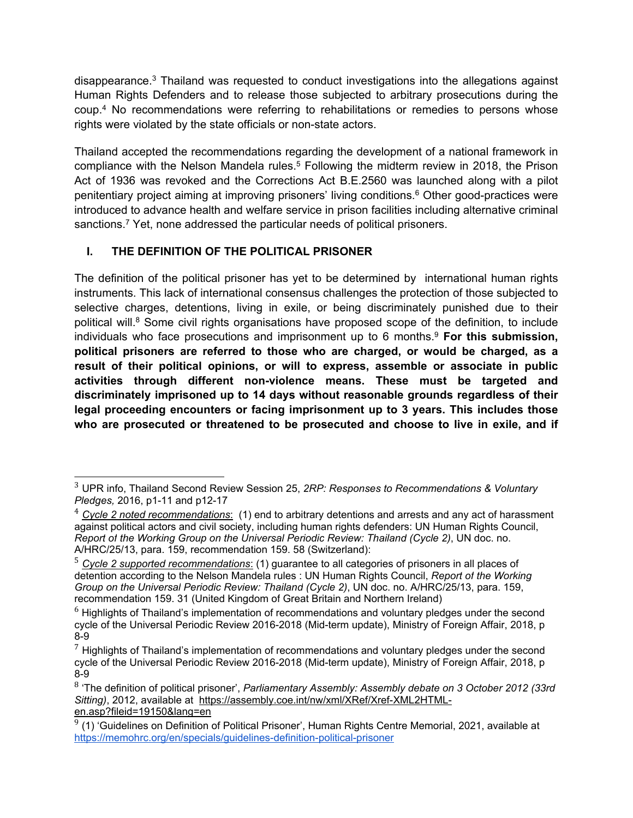disappearance.<sup>3</sup> Thailand was requested to conduct investigations into the allegations against Human Rights Defenders and to release those subjected to arbitrary prosecutions during the coup. <sup>4</sup> No recommendations were referring to rehabilitations or remedies to persons whose rights were violated by the state officials or non-state actors.

Thailand accepted the recommendations regarding the development of <sup>a</sup> national framework in compliance with the Nelson Mandela rules.<sup>5</sup> Following the midterm review in 2018, the Prison Act of 1936 was revoked and the Corrections Act B.E.2560 was launched along with <sup>a</sup> pilot penitentiary project aiming at improving prisoners' living conditions. <sup>6</sup> Other good-practices were introduced to advance health and welfare service in prison facilities including alternative criminal sanctions. <sup>7</sup> Yet, none addressed the particular needs of political prisoners.

# **I. THE DEFINITION OF THE POLITICAL PRISONER**

The definition of the political prisoner has yet to be determined by international human rights instruments. This lack of international consensus challenges the protection of those subjected to selective charges, detentions, living in exile, or being discriminately punished due to their political will.<sup>8</sup> Some civil rights organisations have proposed scope of the definition, to include individuals who face prosecutions and imprisonment up to 6 months. 9 **For this submission, political prisoners are referred to those who are charged, or would be charged, as <sup>a</sup> result of their political opinions, or will to express, assemble or associate in public activities through different non-violence means. These must be targeted and discriminately imprisoned up to 14 days without reasonable grounds regardless of their legal proceeding encounters or facing imprisonment up to 3 years. This includes those who are prosecuted or threatened to be prosecuted and choose to live in exile, and if**

<sup>3</sup> UPR info, Thailand Second Review Session 25, *2RP: Responses to Recommendations & Voluntary Pledges,* 2016, p1-11 and p12-17

<sup>4</sup> *Cycle 2 noted recommendations*: (1) end to arbitrary detentions and arrests and any act of harassment against political actors and civil society, including human rights defenders: UN Human Rights Council, *Report of the Working Group on the Universal Periodic Review: Thailand (Cycle 2)*, UN doc. no. A/HRC/25/13, para. 159, recommendation 159. 58 (Switzerland):

<sup>5</sup> *Cycle 2 supported recommendations*: (1) guarantee to all categories of prisoners in all places of detention according to the Nelson Mandela rules : UN Human Rights Council, *Report of the Working Group on the Universal Periodic Review: Thailand (Cycle 2)*, UN doc. no. A/HRC/25/13, para. 159, recommendation 159. 31 (United Kingdom of Great Britain and Northern Ireland)

 $6$  Highlights of Thailand's implementation of recommendations and voluntary pledges under the second cycle of the Universal Periodic Review 2016-2018 (Mid-term update), Ministry of Foreign Affair, 2018, p 8-9

 $<sup>7</sup>$  Highlights of Thailand's implementation of recommendations and voluntary pledges under the second</sup> cycle of the Universal Periodic Review 2016-2018 (Mid-term update), Ministry of Foreign Affair, 2018, p 8-9

<sup>8</sup> 'The definition of political prisoner', *Parliamentary Assembly: Assembly debate on 3 October 2012 (33rd* Sitting), 2012, available at [https://assembly.coe.int/nw/xml/XRef/Xref-XML2HTML](https://assembly.coe.int/nw/xml/XRef/Xref-XML2HTML-en.asp?fileid=19150&lang=en)[en.asp?fileid=19150&lang=en](https://assembly.coe.int/nw/xml/XRef/Xref-XML2HTML-en.asp?fileid=19150&lang=en)

 $9$  (1) 'Guidelines on Definition of Political Prisoner', Human Rights Centre Memorial, 2021, available at <https://memohrc.org/en/specials/guidelines-definition-political-prisoner>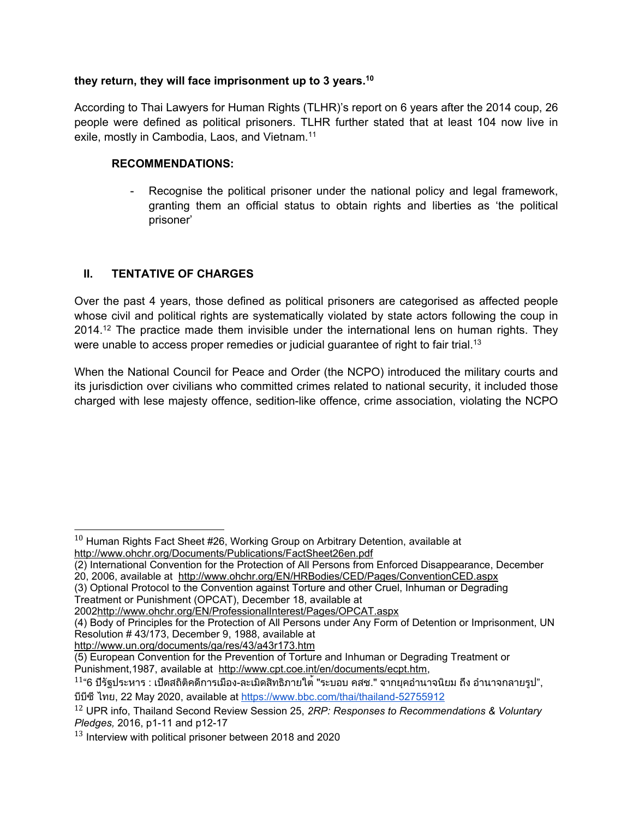### **they return, they will face imprisonment up to 3 years. 10**

According to Thai Lawyers for Human Rights (TLHR)'<sup>s</sup> report on 6 years after the 2014 coup, 26 people were defined as political prisoners. TLHR further stated that at least 104 now live in exile, mostly in Cambodia, Laos, and Vietnam.<sup>11</sup>

### **RECOMMENDATIONS:**

- Recognise the political prisoner under the national policy and legal framework, granting them an official status to obtain rights and liberties as 'the political prisoner'

## **II. TENTATIVE OF CHARGES**

Over the past 4 years, those defined as political prisoners are categorised as affected people whose civil and political rights are systematically violated by state actors following the coup in 2014.<sup>12</sup> The practice made them invisible under the international lens on human rights. They were unable to access proper remedies or judicial guarantee of right to fair trial. 13

When the National Council for Peace and Order (the NCPO) introduced the military courts and its jurisdiction over civilians who committed crimes related to national security, it included those charged with lese majesty offence, sedition-like offence, crime association, violating the NCPO

(3) Optional Protocol to the Convention against Torture and other Cruel, Inhuman or Degrading Treatment or Punishment (OPCAT), December 18, available at

<http://www.un.org/documents/ga/res/43/a43r173.htm>

 $^{\rm 10}$  Human Rights Fact Sheet #26, Working Group on Arbitrary Detention, available at <http://www.ohchr.org/Documents/Publications/FactSheet26en.pdf>

<sup>(2)</sup> International Convention for the Protection of All Persons from Enforced Disappearance, December 20, 2006, available at <http://www.ohchr.org/EN/HRBodies/CED/Pages/ConventionCED.aspx>

<sup>2002</sup><http://www.ohchr.org/EN/ProfessionalInterest/Pages/OPCAT.aspx>

<sup>(4)</sup> Body of Principles for the Protection of All Persons under Any Form of Detention or Imprisonment, UN Resolution # 43/173, December 9, 1988, available at

<sup>(5)</sup> European Convention for the Prevention of Torture and Inhuman or Degrading Treatment or Punishment,1987, available at <http://www.cpt.coe.int/en/documents/ecpt.htm>,

 $^{11}$ "6 ปีรัฐประหาร : เปิดสถิติคดีการเมือง-ละเมิดสิทธิภายใต<sup>้</sup> "ระบอบ คสช." จากยุคอำนาจนิยม ถึง อำนาจกลายรูป", บีบีซีไทย, <sup>22</sup> May 2020, available at <https://www.bbc.com/thai/thailand-52755912>

<sup>12</sup> UPR info, Thailand Second Review Session 25, *2RP: Responses to Recommendations & Voluntary Pledges,* 2016, p1-11 and p12-17

 $^{13}$  Interview with political prisoner between 2018 and 2020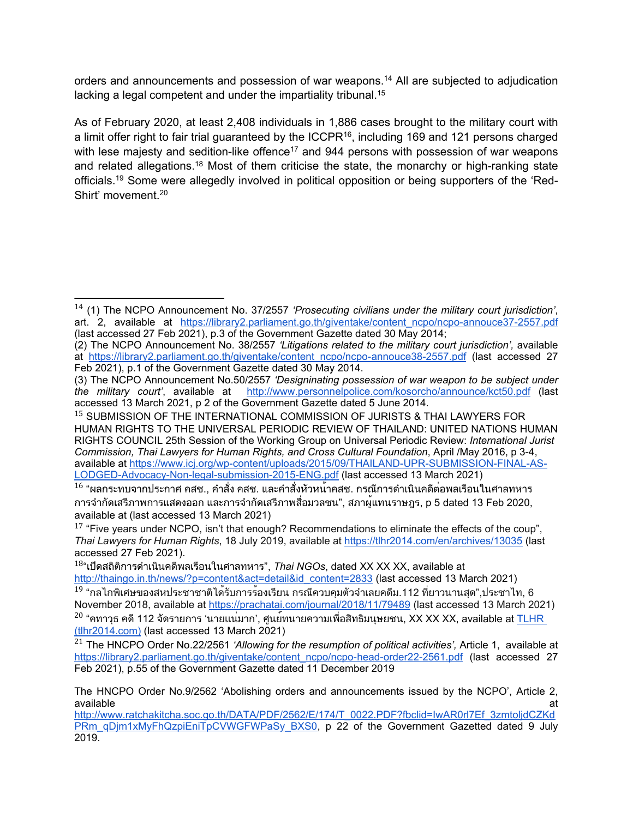orders and announcements and possession of war weapons. <sup>14</sup> All are subjected to adjudication lacking <sup>a</sup> legal competent and under the impartiality tribunal. 15

As of February 2020, at least 2,408 individuals in 1,886 cases brought to the military court with a limit offer right to fair trial guaranteed by the ICCPR<sup>16</sup>, including 169 and 121 persons charged with lese majesty and sedition-like offence $^{\rm 17}$  and 944 persons with possession of war weapons and related allegations.<sup>18</sup> Most of them criticise the state, the monarchy or high-ranking state officials.<sup>19</sup> Some were allegedly involved in political opposition or being supporters of the 'Red-Shirt' movement. 20

<sup>14</sup> (1) The NCPO Announcement No. 37/2557 *'Prosecuting civilians under the military court jurisdiction'*, art. 2, available at [https://library2.parliament.go.th/giventake/content\\_ncpo/ncpo-annouce37-2557.pdf](https://library2.parliament.go.th/giventake/content_ncpo/ncpo-annouce37-2557.pdf) (last accessed 27 Feb 2021), p.3 of the Government Gazette dated 30 May 2014;

<sup>(2)</sup> The NCPO Announcement No. 38/2557 *'Litigations related to the military court jurisdiction',* available at [https://library2.parliament.go.th/giventake/content\\_ncpo/ncpo-annouce38-2557.pdf](https://library2.parliament.go.th/giventake/content_ncpo/ncpo-annouce38-2557.pdf) (last accessed 27 Feb 2021), p.1 of the Government Gazette dated 30 May 2014.

<sup>(3)</sup> The NCPO Announcement No.50/2557 *'Designinating possession of war weapon to be subject under the military court'*, available at <http://www.personnelpolice.com/kosorcho/announce/kct50.pdf> (last accessed 13 March 2021, p 2 of the Government Gazette dated 5 June 2014.

<sup>&</sup>lt;sup>15</sup> SUBMISSION OF THE INTERNATIONAL COMMISSION OF JURISTS & THAI LAWYERS FOR HUMAN RIGHTS TO THE UNIVERSAL PERIODIC REVIEW OF THAILAND: UNITED NATIONS HUMAN RIGHTS COUNCIL 25th Session of the Working Group on Universal Periodic Review: *International Jurist Commission, Thai Lawyers for Human Rights, and Cross Cultural Foundation*, April /May 2016, p 3-4, available at [https://www.icj.org/wp-content/uploads/2015/09/THAILAND-UPR-SUBMISSION-FINAL-AS-](https://www.icj.org/wp-content/uploads/2015/09/THAILAND-UPR-SUBMISSION-FINAL-AS-LODGED-Advocacy-Non-legal-submission-2015-ENG.pdf)[LODGED-Advocacy-Non-legal-submission-2015-ENG.pdf](https://www.icj.org/wp-content/uploads/2015/09/THAILAND-UPR-SUBMISSION-FINAL-AS-LODGED-Advocacy-Non-legal-submission-2015-ENG.pdf) (last accessed 13 March 2021)

 $^{\rm 16}$  "ผลกระทบจากประกาศ คสช., คำสั่ง คสช. และคำสั่งหัวหน้าคสช. กรณีการดำเนินคดีต่อพลเรือนในศาลทหาร การจำกัดเสรีภาพการแสดงออก และการจำกัดเสรีภาพสื่อมวลชน", สภาผู้แทนราษฎร, <sup>p</sup> <sup>5</sup> dated <sup>13</sup> Feb 2020, available at (last accessed 13 March 2021)

 $^{17}$  "Five years under NCPO, isn't that enough? Recommendations to eliminate the effects of the coup", *Thai Lawyers for Human Rights*, 18 July 2019, available at <https://tlhr2014.com/en/archives/13035> (last accessed 27 Feb 2021).

<sup>18</sup> "เปิดสถิติการดำเนินคดีพลเรือนในศาลทหาร", *Thai NGOs*, dated XX XX XX, available at

[http://thaingo.in.th/news/?p=content&act=detail&id\\_content=2833](http://thaingo.in.th/news/?p=content&act=detail&id_content=2833) (last accessed 13 March 2021)  $^{19}$  "กลไกพิเศษของสหประชาชาติได<sup>้</sup>รับการร้องเรียน กรณีควบคุมตัวจำเลยคดีม.112 ที่ยาวนานสุด",ประชาไท, 6 November 2018, available at <https://prachatai.com/journal/2018/11/79489> (last accessed 13 March 2021)  $^{20}$  "คทาวุธ คดี 112 จัดรายการ 'นายแน่มาก', ศูนย์ทนายความเพื่อสิทธิมนุษยชน, XX XX XX, available at <u>[TLHR](https://database.tlhr2014.com/public/case/508/)</u> [\(tlhr2014.com\)](https://database.tlhr2014.com/public/case/508/) (last accessed 13 March 2021)

<sup>21</sup> The HNCPO Order No.22/2561 *'Allowing for the resumption of political activities',* Article 1, available at [https://library2.parliament.go.th/giventake/content\\_ncpo/ncpo-head-order22-2561.pdf](https://library2.parliament.go.th/giventake/content_ncpo/ncpo-head-order22-2561.pdf) (last accessed 27 Feb 2021), p.55 of the Government Gazette dated 11 December 2019

The HNCPO Order No.9/2562 'Abolishing orders and announcements issued by the NCPO', Article 2, available at the state of the state of the state of the state of the state of the state of the state of the sta

http://www.ratchakitcha.soc.go.th/DATA/PDF/2562/E/174/T\_0022.PDF?fbclid=IwAR0rl7Ef\_3zmtolidCZKd [PRm\\_qDjm1xMyFhQzpiEniTpCVWGFWPaSy\\_BXS0](http://www.ratchakitcha.soc.go.th/DATA/PDF/2562/E/174/T_0022.PDF?fbclid=IwAR0rl7Ef_3zmtoljdCZKdPRm_qDjm1xMyFhQzpiEniTpCVWGFWPaSy_BXS0), p 22 of the Government Gazetted dated 9 July 2019.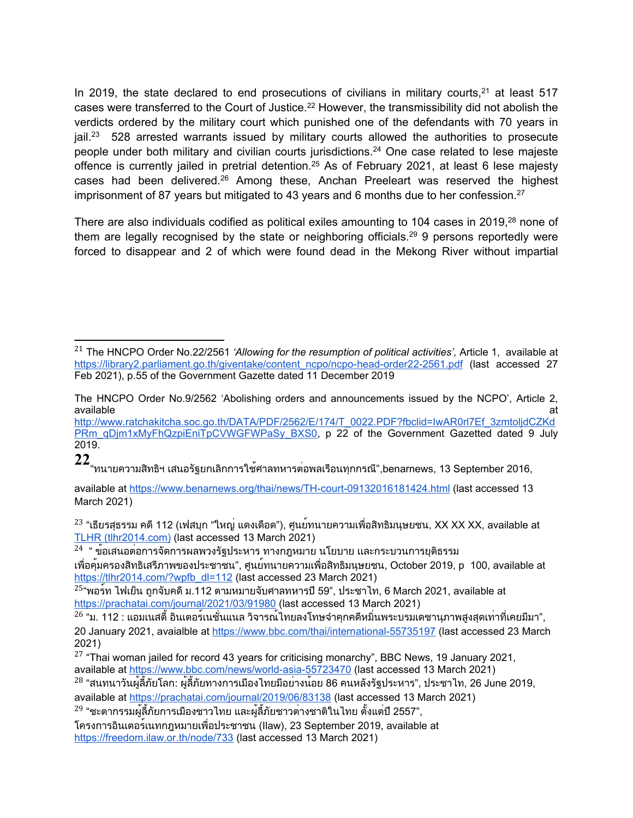In 2019, the state declared to end prosecutions of civilians in military courts,  $21$  at least 517 cases were transferred to the Court of Justice. $^\mathrm{22}$  However, the transmissibility did not abolish the verdicts ordered by the military court which punished one of the defendants with 70 years in jail.<sup>23</sup> 528 arrested warrants issued by military courts allowed the authorities to prosecute people under both military and civilian courts jurisdictions. <sup>24</sup> One case related to lese majeste offence is currently jailed in pretrial detention.<sup>25</sup> As of February 2021, at least 6 lese majesty cases had been delivered.<sup>26</sup> Among these, Anchan Preeleart was reserved the highest imprisonment of 87 years but mitigated to 43 years and 6 months due to her confession. $^{27}$ 

There are also individuals codified as political exiles amounting to 104 cases in 2019, $^{\rm 28}$  none of them are legally recognised by the state or neighboring officials.<sup>29</sup> 9 persons reportedly were forced to disappear and 2 of which were found dead in the Mekong River without impartial

**22** "ทนายความสิทธิฯ เสนอรัฐยกเลิกการใช้ศาลทหารต่อพลเรือนทุกกรณี",benarnews, <sup>13</sup> September 2016,

available at <https://www.benarnews.org/thai/news/TH-court-09132016181424.html> (last accessed 13 March 2021)

 $^{23}$  "เธียรสุธรรม คดี 112 (เฟสบุก "ใหญ่ แดงเดือด"), ศูนย์ทนายความเพื่อสิทธิมนุษยชน, XX XX XX, available at TLHR [\(tlhr2014.com\)](https://database.tlhr2014.com/public/case/515/) (last accessed 13 March 2021)

 $^{24}$  " ข้อเสนอต่อการจัดการผลพวงรัฐประหาร ทางกฎหมาย นโยบาย และกระบวนการยุติธรรม เพื่อคุ้มครองสิทธิเสรีภาพของประชาชน", ศูนย์ทนายความเพื่อสิทธิมนุษยชน, October 2019, <sup>p</sup> 100, available at [https://tlhr2014.com/?wpfb\\_dl=112](https://tlhr2014.com/?wpfb_dl=112) (last accessed 23 March 2021)

<sup>21</sup> The HNCPO Order No.22/2561 *'Allowing for the resumption of political activities',* Article 1, available at [https://library2.parliament.go.th/giventake/content\\_ncpo/ncpo-head-order22-2561.pdf](https://library2.parliament.go.th/giventake/content_ncpo/ncpo-head-order22-2561.pdf) (last accessed 27 Feb 2021), p.55 of the Government Gazette dated 11 December 2019

The HNCPO Order No.9/2562 'Abolishing orders and announcements issued by the NCPO', Article 2, available available at the control of the control of the control of the control of the control of the control of the control of the control of the control of the control of the control of the control of the control of the control of

[http://www.ratchakitcha.soc.go.th/DATA/PDF/2562/E/174/T\\_0022.PDF?fbclid=IwAR0rl7Ef\\_3zmtoljdCZKd](http://www.ratchakitcha.soc.go.th/DATA/PDF/2562/E/174/T_0022.PDF?fbclid=IwAR0rl7Ef_3zmtoljdCZKdPRm_qDjm1xMyFhQzpiEniTpCVWGFWPaSy_BXS0) [PRm\\_qDjm1xMyFhQzpiEniTpCVWGFWPaSy\\_BXS0](http://www.ratchakitcha.soc.go.th/DATA/PDF/2562/E/174/T_0022.PDF?fbclid=IwAR0rl7Ef_3zmtoljdCZKdPRm_qDjm1xMyFhQzpiEniTpCVWGFWPaSy_BXS0), p 22 of the Government Gazetted dated 9 July 2019.

 $^{25}$ "พอร์ท ไฟเย็น ถูกจับคดี ม.112 ตามหมายจับศาลทหารปี 59", ประชาไท, 6 March 2021, available at <https://prachatai.com/journal/2021/03/91980> (last accessed 13 March 2021)

 $^{26}$  "ม. 112 : แอมเนสตี้ อินเตอร์เนชั่นแนล วิจารณ์ไทยลงโทษจำคุกคดีหมิ่นพระบรมเดชานุภาพสูงสุดเท่าที่เคยมีมา", 20 January 2021, avaialble at <https://www.bbc.com/thai/international-55735197> (last accessed 23 March 2021)

 $^\mathrm{27}$  "Thai woman jailed for record 43 years for criticising monarchy", BBC News, 19 January 2021, available at <https://www.bbc.com/news/world-asia-55723470> (last accessed 13 March 2021)

 $^{28}$  "สนทนาวันผู้ลี้ภัยโลก: ผู้ลี้ภัยทางการเมืองไทยมีอย่างน้อย 86 คนหลังรัฐประหาร", ประชาไท, 26 June 2019, available at <https://prachatai.com/journal/2019/06/83138> (last accessed 13 March 2021)

<sup>&</sup>lt;sup>29</sup> "ชะตากรรมผู้ลี้ภัยการเมืองชาวไทย และผู้ลี้ภัยชาวต<sup>่</sup>างชาติในไทย ตั้งแต่ปี 2557",

โครงการอินเตอร์เนทกฎหมายเพื่อประชาชน (Ilaw), <sup>23</sup> September 2019, available at <https://freedom.ilaw.or.th/node/733> (last accessed 13 March 2021)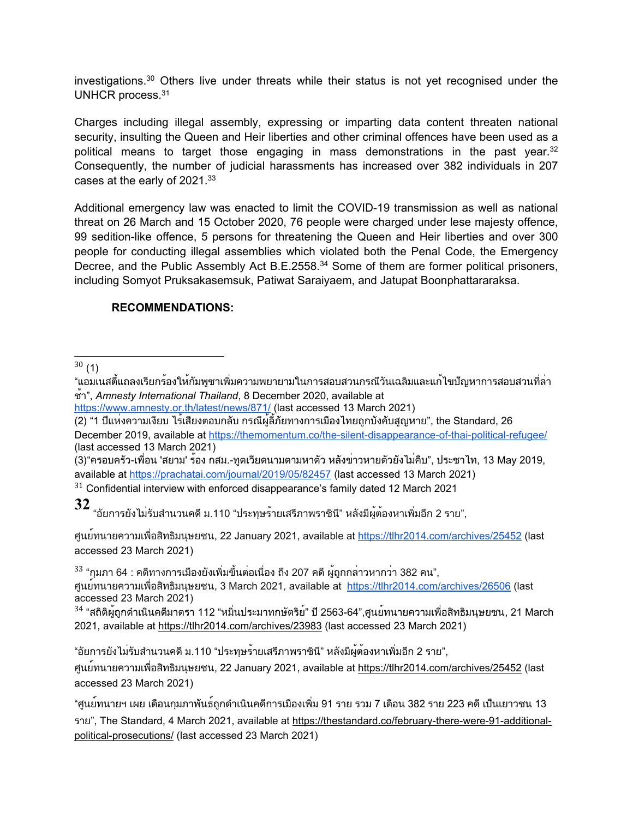investigations.<sup>30</sup> Others live under threats while their status is not yet recognised under the UNHCR process. $^{\rm 31}$ 

Charges including illegal assembly, expressing or imparting data content threaten national security, insulting the Queen and Heir liberties and other criminal offences have been used as <sup>a</sup> political means to target those engaging in mass demonstrations in the past year. 32 Consequently, the number of judicial harassments has increased over 382 individuals in 207 cases at the early of 2021. $^{\rm 33}$ 

Additional emergency law was enacted to limit the COVID-19 transmission as well as national threat on 26 March and 15 October 2020, 76 people were charged under lese majesty offence, 99 sedition-like offence, 5 persons for threatening the Queen and Heir liberties and over 300 people for conducting illegal assemblies which violated both the Penal Code, the Emergency Decree, and the Public Assembly Act B.E.2558. <sup>34</sup> Some of them are former political prisoners, including Somyot Pruksakasemsuk, Patiwat Saraiyaem, and Jatupat Boonphattararaksa.

## **RECOMMENDATIONS:**

 $^{30}\left( 1\right)$ 

(2) "<sup>1</sup> ปีแห่งความเงียบ ไร้เสียงตอบกลับ กรณีผู้ลี้ภัยทางการเมืองไทยถูกบังคับสูญหาย", the Standard, <sup>26</sup> December 2019, available at <https://themomentum.co/the-silent-disappearance-of-thai-political-refugee/> (last accessed 13 March 2021)

(3)"ครอบครัว-เพื่อน 'สยาม' ร้อง กสม.-ทูตเวียดนามตามหาตัว หลังข่าวหายตัวยังไม่คืบ", ประชาไท, <sup>13</sup> May 2019, available at <https://prachatai.com/journal/2019/05/82457> (last accessed 13 March 2021)

 $^{\rm 31}$  Confidential interview with enforced disappearance's family dated 12 March 2021

**32** "อัยการยังไม่รับสำนวนคดีม.110 "ประทุษร้ายเสรีภาพราชินี" หลังมีผู้ต้องหาเพิ่มอีก <sup>2</sup> ราย",

ศูนย์ทนายความเพื่อสิทธิมนุษยชน, <sup>22</sup> January 2021, available at <https://tlhr2014.com/archives/25452> (last accessed 23 March 2021)

 $^{33}$  "กุมภา 64 : คดีทางการเมืองยังเพิ่มขึ้นต่อเนื่อง ถึง 207 คดี ผู้ถูกกล่าวหากว<sup>่</sup>า 382 คน",

ศูนย์ทนายความเพื่อสิทธิมนุษยชน, <sup>3</sup> March 2021, available at <https://tlhr2014.com/archives/26506> (last accessed 23 March 2021)

 $^\mathrm{34}$  "สถิติผู้ถูกดำเนินคดีมาตรา 112 "หมิ่นประมาทกษัตริย์" ปี 2563-64",ศูนย์ทนายความเพื่อสิทธิมนุษยชน, 21 March 2021, available at <https://tlhr2014.com/archives/23983> (last accessed 23 March 2021)

"อัยการยังไม่รับสำนวนคดีม.110 "ประทุษร้ายเสรีภาพราชินี" หลังมีผู้ต้องหาเพิ่มอีก <sup>2</sup> ราย",

ศูนย์ทนายความเพื่อสิทธิมนุษยชน, <sup>22</sup> January 2021, available at <https://tlhr2014.com/archives/25452> (last accessed 23 March 2021)

<sup>&</sup>quot;แอมเนสตี้แถลงเรียกร้องให้กัมพูชาเพิ่มความพยายามในการสอบสวนกรณีวันเฉลิมและแก้ไขปัญหาการสอบสวนที่ล่า ช้า", *Amnesty International Thailand*, <sup>8</sup> December 2020, available at

<https://www.amnesty.or.th/latest/news/871/> (last accessed 13 March 2021)

<sup>&</sup>quot;ศูนย์ทนายฯ เผย เดือนกุมภาพันธ์ถูกดำเนินคดีการเมืองเพิ่ม <sup>91</sup> ราย รวม <sup>7</sup> เดือน <sup>382</sup> ราย <sup>223</sup> คดีเป็นเยาวชน <sup>13</sup> ราย", The Standard, 4 March 2021, available at [https://thestandard.co/february-there-were-91-additional](https://thestandard.co/february-there-were-91-additional-political-prosecutions/)[political-prosecutions/](https://thestandard.co/february-there-were-91-additional-political-prosecutions/) (last accessed 23 March 2021)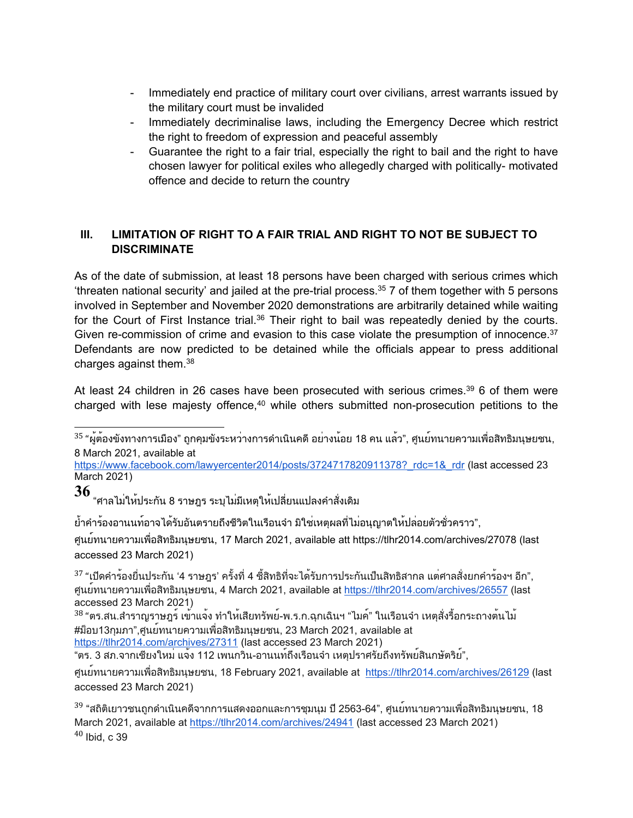- - Immediately end practice of military court over civilians, arrest warrants issued by the military court must be invalided
- - Immediately decriminalise laws, including the Emergency Decree which restrict the right to freedom of expression and peaceful assembly
- - Guarantee the right to <sup>a</sup> fair trial, especially the right to bail and the right to have chosen lawyer for political exiles who allegedly charged with politically- motivated offence and decide to return the country

# **III. LIMITATION OF RIGHT TO A FAIR TRIAL AND RIGHT TO NOT BE SUBJECT TO DISCRIMINATE**

As of the date of submission, at least 18 persons have been charged with serious crimes which 'threaten national security' and jailed at the pre-trial process. 35 7 of them together with 5 persons involved in September and November 2020 demonstrations are arbitrarily detained while waiting for the Court of First Instance trial. $^{36}$  Their right to bail was repeatedly denied by the courts. Given re-commission of crime and evasion to this case violate the presumption of innocence. $^{37}$ Defendants are now predicted to be detained while the officials appear to press additional charges against them. $^{\rm 38}$ 

At least 24 children in 26 cases have been prosecuted with serious crimes.<sup>39</sup> 6 of them were charged with lese majesty offence,<sup>40</sup> while others submitted non-prosecution petitions to the

<sup>35</sup> "ผู้ต้องขังทางการเมือง" ถูกคุมขังระหว่างการดำเนินคดี อย่างน้อย 18 คน แล*้*ว", ศูนย์ทนายความเพื่อสิทธิมนุษยชน, 8 March 2021, available at

https://www.facebook.com/lawyercenter2014/posts/3724717820911378? rdc=1& rdr (last accessed 23 March 2021)

**36** "ศาลไม่ให้ประกัน <sup>8</sup> ราษฎร ระบุไม่มีเหตุให้เปลี่ยนแปลงคำสั่งเดิม

ย้ำคำร้องอานนท์อาจได้รับอันตรายถึงชีวิตในเรือนจำ มิใช่เหตุผลที่ไม่อนุญาตให้ปล่อยตัวชั่วคราว",

ศูนย์ทนายความเพื่อสิทธิมนุษยชน, <sup>17</sup> March 2021, available att <https://tlhr2014.com/archives/27078> (last accessed 23 March 2021)

 $^{37}$  "เปิดคำร้องยื่นประกัน '4 ราษฎร' ครั้งที่ 4 ชี้สิทธิที่จะได้รับการประกันเป็นสิทธิสากล แต่ศาลสั่งยกคำร้องฯ อีก", ศูนย์ทนายความเพื่อสิทธิมนุษยชน, <sup>4</sup> March 2021, available at <https://tlhr2014.com/archives/26557> (last accessed 23 March 2021)

<sup>38</sup> "ตร.สน.สำราญราษฎร์ เข้าแจ้ง ทำให้เสียทรัพย์-พ.ร.ก.ฉุกเฉินฯ "ไมค์" ในเรือนจำ เหตุสั่งรื้อกระถางต<sup>้</sup>นไม้ #ม็อบ13กุมภา",ศูนย์ทนายความเพื่อสิทธิมนุษยชน, <sup>23</sup> March 2021, available at <https://tlhr2014.com/archives/27311> (last accessed 23 March 2021)

"ตร. <sup>3</sup> สภ.จากเชียงใหม่ แจ้ง <sup>112</sup> เพนกวิน-อานนท์ถึงเรือนจำ เหตุปราศรัยถึงทรัพย์สินกษัตริย์",

ศูนย์ทนายความเพื่อสิทธิมนุษยชน, <sup>18</sup> February 2021, available at <https://tlhr2014.com/archives/26129> (last accessed 23 March 2021)

<sup>39</sup> "สถิติเยาวชนถูกดำเนินคดีจากการแสดงออกและการชุมนุม ปี 2563-64", ศูนย<sup>์</sup>ทนายความเพื่อสิทธิมนุษยชน, 18 March 2021, available at <https://tlhr2014.com/archives/24941> (last accessed 23 March 2021)  $^{\rm 40}$  Ibid, c 39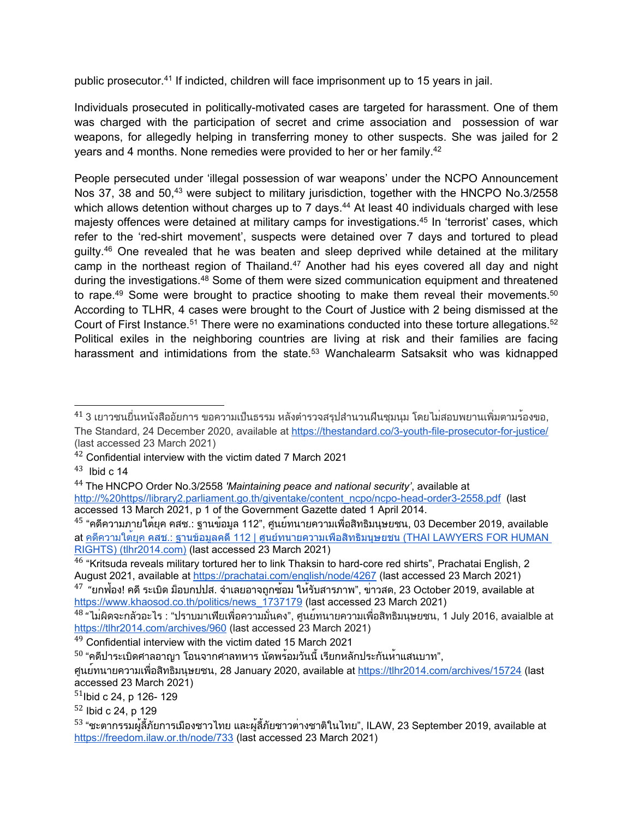public prosecutor.<sup>41</sup> If indicted, children will face imprisonment up to 15 years in jail.

Individuals prosecuted in politically-motivated cases are targeted for harassment. One of them was charged with the participation of secret and crime association and possession of war weapons, for allegedly helping in transferring money to other suspects. She was jailed for 2 years and 4 months. None remedies were provided to her or her family. 42

People persecuted under 'illegal possession of war weapons' under the NCPO Announcement Nos 37, 38 and 50,<sup>43</sup> were subject to military jurisdiction, together with the HNCPO No.3/2558 which allows detention without charges up to 7 days. <sup>44</sup> At least 40 individuals charged with lese majesty offences were detained at military camps for investigations. 45 In 'terrorist' cases, which refer to the 'red-shirt movement', suspects were detained over 7 days and tortured to plead guilty. <sup>46</sup> One revealed that he was beaten and sleep deprived while detained at the military camp in the northeast region of Thailand.<sup>47</sup> Another had his eyes covered all day and night during the investigations.<sup>48</sup> Some of them were sized communication equipment and threatened to rape.<sup>49</sup> Some were brought to practice shooting to make them reveal their movements.<sup>50</sup> According to TLHR, 4 cases were brought to the Court of Justice with 2 being dismissed at the Court of First Instance. $^{\rm 51}$  There were no examinations conducted into these torture allegations. $^{\rm 52}$ Political exiles in the neighboring countries are living at risk and their families are facing harassment and intimidations from the state.<sup>53</sup> Wanchalearm Satsaksit who was kidnapped

<sup>&</sup>lt;sup>41</sup> 3 เยาวชนยื่นหนังสืออัยการ ขอความเป็นธรรม หลังตำรวจสรุปสำนวนฝืนชุมนุม โดยไม่สอบพยานเพิ่มตามร<sup>้</sup>องขอ, The Standard, 24 December 2020, available at <https://thestandard.co/3-youth-file-prosecutor-for-justice/> (last accessed 23 March 2021)

 $42$  Confidential interview with the victim dated 7 March 2021

 $^{43}$  Ibid c 14

<sup>44</sup> The HNCPO Order No.3/2558 *'Maintaining peace and national security'*, available at [http://%20https//library2.parliament.go.th/giventake/content\\_ncpo/ncpo-head-order3-2558.pdf](about:blank) (last accessed 13 March 2021, p 1 of the Government Gazette dated 1 April 2014.

 $^{45}$  "คดีความภายใต<sup>้</sup>ยุค คสช.: ฐานข้อมูล 112", ศูนย์ทนายความเพื่อสิทธิมนุษยชน, 03 December 2019, available at คดีความใต<sup>้</sup>ยุค คสช.: ฐานข้อมูลคดี 112 | [ศูนย์ทนายความเพื่อสิทธิมนุษยชน](https://tlhr2014.com/archives/14840) (THAI LAWYERS FOR HUMAN RIGHTS) [\(tlhr2014.com\)](https://tlhr2014.com/archives/14840) (last accessed 23 March 2021)

 $^{\rm 46}$  "Kritsuda reveals military tortured her to link Thaksin to [hard-core](https://prachatai.com/english/node/4267) red shirts", Prachatai English, 2 August 2021, available at <https://prachatai.com/english/node/4267> (last accessed 23 March 2021)

 $^{47}$  "ยกฟ้อง! คดี ระเบิด ม็อบกปปส. จำเลยอาจถูกซ้อม ให้รับสารภาพ", ข่าวสด, 23 October 2019, available at [https://www.khaosod.co.th/politics/news\\_1737179](https://www.khaosod.co.th/politics/news_1737179) (last accessed 23 March 2021)

<sup>&</sup>lt;sup>48</sup> "ไม่ผิดจะกลัวอะไร : "ปราบมาเฟียเพื่อความมั่นคง", ศูนย<sup>์</sup>ทนายความเพื่อสิทธิมนุษยชน, 1 July 2016, avaialble at <https://tlhr2014.com/archives/960> (last accessed 23 March 2021)

 $49$  Confidential interview with the victim dated 15 March 2021

 $^{\mathsf{50}}$  "คดีปาระเบิดศาลอาญา โอนจากศาลทหาร นัดพร้อมวันนี้ เรียกหลักประกันห<sup>้</sup>าแสนบาท",

ศูนย์ทนายความเพื่อสิทธิมนุษยชน, <sup>28</sup> January 2020, available at <https://tlhr2014.com/archives/15724> (last accessed 23 March 2021)

<sup>&</sup>lt;sup>51</sup>lbid c 24, p 126- 129

<sup>&</sup>lt;sup>52</sup> Ibid c 24, p 129

<sup>&</sup>lt;sup>53</sup> "ชะตากรรมผู้ลี้ภัยการเมืองชาวไทย และผู้ลี้ภัยชาวต<sup>่</sup>างชาติในไทย", ILAW, 23 September 2019, available at <https://freedom.ilaw.or.th/node/733> (last accessed 23 March 2021)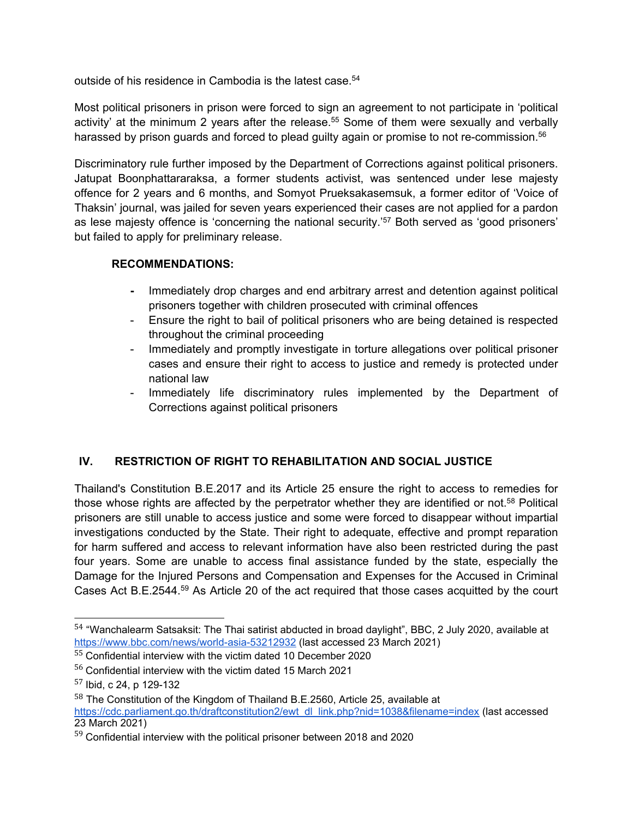outside of his residence in Cambodia is the latest case. 54

Most political prisoners in prison were forced to sign an agreement to not participate in 'political activity' at the minimum 2 years after the release. <sup>55</sup> Some of them were sexually and verbally harassed by prison guards and forced to plead guilty again or promise to not re-commission. 56

Discriminatory rule further imposed by the Department of Corrections against political prisoners. Jatupat Boonphattararaksa, <sup>a</sup> former students activist, was sentenced under lese majesty offence for 2 years and 6 months, and Somyot Prueksakasemsuk, <sup>a</sup> former editor of 'Voice of Thaksin' journal, was jailed for seven years experienced their cases are not applied for <sup>a</sup> pardon as lese majesty offence is 'concerning the national security.' <sup>57</sup> Both served as 'good prisoners' but failed to apply for preliminary release.

## **RECOMMENDATIONS:**

- **-** Immediately drop charges and end arbitrary arrest and detention against political prisoners together with children prosecuted with criminal offences
- Ensure the right to bail of political prisoners who are being detained is respected throughout the criminal proceeding
- - Immediately and promptly investigate in torture allegations over political prisoner cases and ensure their right to access to justice and remedy is protected under national law
- Immediately life discriminatory rules implemented by the Department of Corrections against political prisoners

## **IV. RESTRICTION OF RIGHT TO REHABILITATION AND SOCIAL JUSTICE**

Thailand's Constitution B.E.2017 and its Article 25 ensure the right to access to remedies for those whose rights are affected by the perpetrator whether they are identified or not. <sup>58</sup> Political prisoners are still unable to access justice and some were forced to disappear without impartial investigations conducted by the State. Their right to adequate, effective and prompt reparation for harm suffered and access to relevant information have also been restricted during the past four years. Some are unable to access final assistance funded by the state, especially the Damage for the Injured Persons and Compensation and Expenses for the Accused in Criminal Cases Act B.E.2544. $^{59}$  As Article 20 of the act required that those cases acquitted by the court

 $^{54}$  "Wanchalearm Satsaksit: The Thai satirist abducted in broad daylight", BBC, 2 July 2020, available at <https://www.bbc.com/news/world-asia-53212932> (last accessed 23 March 2021)

 $55$  Confidential interview with the victim dated 10 December 2020

 $^{56}$  Confidential interview with the victim dated 15 March 2021

<sup>57</sup> Ibid, <sup>c</sup> 24, p 129-132

 $^{58}$  The Constitution of the Kingdom of Thailand B.E.2560, Article 25, available at

[https://cdc.parliament.go.th/draftconstitution2/ewt\\_dl\\_link.php?nid=1038&filename=index](https://cdc.parliament.go.th/draftconstitution2/ewt_dl_link.php?nid=1038&filename=index) (last accessed 23 March 2021)

 $^{59}$  Confidential interview with the political prisoner between 2018 and 2020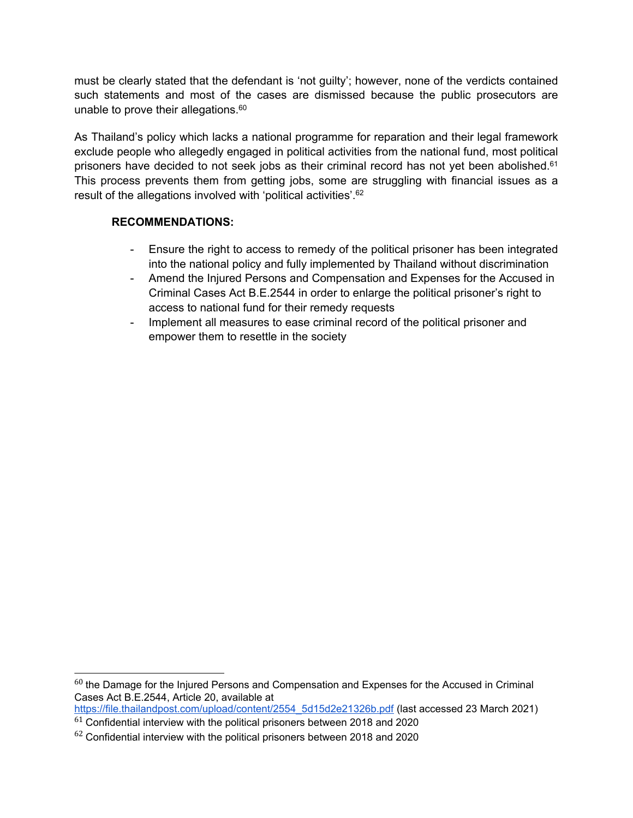must be clearly stated that the defendant is 'not guilty'; however, none of the verdicts contained such statements and most of the cases are dismissed because the public prosecutors are unable to prove their allegations. $^{\rm 60}$ 

As Thailand'<sup>s</sup> policy which lacks <sup>a</sup> national programme for reparation and their legal framework exclude people who allegedly engaged in political activities from the national fund, most political prisoners have decided to not seek jobs as their criminal record has not yet been abolished.<sup>61</sup> This process prevents them from getting jobs, some are struggling with financial issues as <sup>a</sup> result of the allegations involved with 'political activities'. 62

## **RECOMMENDATIONS:**

- Ensure the right to access to remedy of the political prisoner has been integrated into the national policy and fully implemented by Thailand without discrimination
- - Amend the Injured Persons and Compensation and Expenses for the Accused in Criminal Cases Act B.E.2544 in order to enlarge the political prisoner'<sup>s</sup> right to access to national fund for their remedy requests
- - Implement all measures to ease criminal record of the political prisoner and empower them to resettle in the society

 $\rm ^{60}$  the Damage for the Injured Persons and Compensation and Expenses for the Accused in Criminal Cases Act B.E.2544, Article 20, available at

[https://file.thailandpost.com/upload/content/2554\\_5d15d2e21326b.pdf](https://file.thailandpost.com/upload/content/2554_5d15d2e21326b.pdf) (last accessed 23 March 2021)

 $^{61}$  Confidential interview with the political prisoners between 2018 and 2020

 $^{62}$  Confidential interview with the political prisoners between 2018 and 2020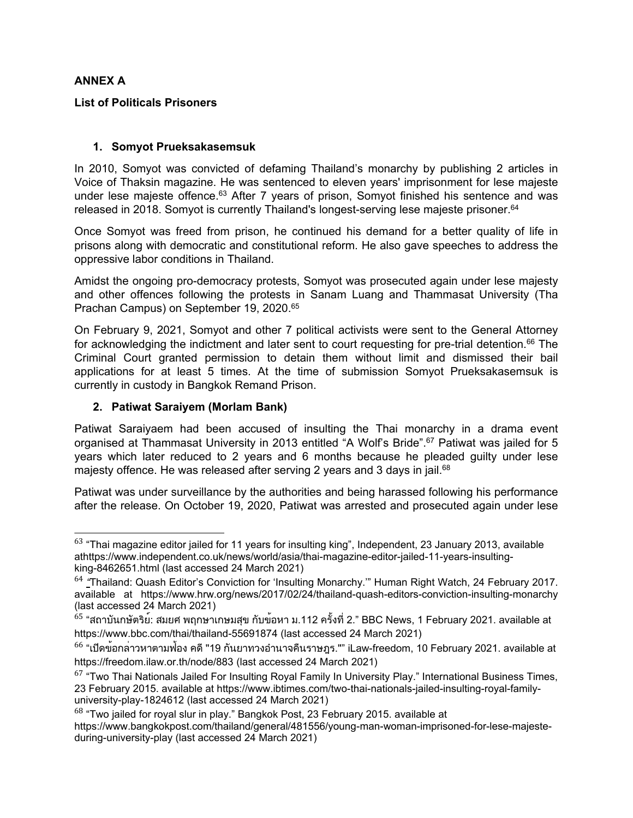### **ANNEX A**

#### **List of Politicals Prisoners**

#### **1. Somyot Prueksakasemsuk**

In 2010, Somyot was convicted of defaming Thailand'<sup>s</sup> monarchy by publishing 2 articles in Voice of Thaksin magazine. He was sentenced to eleven years' imprisonment for lese majeste under lese majeste offence.<sup>63</sup> After 7 years of prison, Somyot finished his sentence and was released in 2018. Somyot is currently Thailand's longest-serving lese majeste prisoner. 64

Once Somyot was freed from prison, he continued his demand for <sup>a</sup> better quality of life in prisons along with democratic and constitutional reform. He also gave speeches to address the oppressive labor conditions in Thailand.

Amidst the ongoing pro-democracy protests, Somyot was prosecuted again under lese majesty and other offences following the protests in Sanam Luang and Thammasat University (Tha Prachan Campus) on September 19, 2020. 65

On February 9, 2021, Somyot and other 7 political activists were sent to the General Attorney for acknowledging the indictment and later sent to court requesting for pre-trial detention. $^{66}$  The Criminal Court granted permission to detain them without limit and dismissed their bail applications for at least 5 times. At the time of submission Somyot Prueksakasemsuk is currently in custody in Bangkok Remand Prison.

### **2. Patiwat Saraiyem (Morlam Bank)**

Patiwat Saraiyaem had been accused of insulting the Thai monarchy in <sup>a</sup> drama event organised at Thammasat University in 2013 entitled "A Wolf'<sup>s</sup> Bride". <sup>67</sup> Patiwat was jailed for 5 years which later reduced to 2 years and 6 months because he pleaded guilty under lese majesty offence. He was released after serving 2 years and 3 days in jail.<sup>68</sup>

Patiwat was under surveillance by the authorities and being harassed following his performance after the release. On October 19, 2020, Patiwat was arrested and prosecuted again under lese

 $^{63}$  "Thai magazine editor jailed for 11 years for insulting king", Independent, 23 January 2013, available athttps://www.independent.co.uk/news/world/asia/thai-magazine-editor-jailed-11-years-insultingking-8462651.html (last accessed 24 March 2021)

<sup>&</sup>lt;sup>64</sup> <u>"</u>Thailand: Quash Editor's Conviction for 'Insulting Monarchy.'" Human Right Watch, 24 February 2017. available at https://www.hrw.org/news/2017/02/24/thailand-quash-editors-conviction-insulting-monarchy (last accessed 24 March 2021)

 $^{65}$  "สถาบันกษัตริย์: สมยศ พฤกษาเกษมสุข กับข<sup>้</sup>อหา ม.112 ครั้งที่ 2." BBC News, 1 February 2021. available at https://www.bbc.com/thai/thailand-55691874 (last accessed 24 March 2021)

 $^{66}$  "เปิดข<sup>้</sup>อกล<sup>่</sup>าวหาตามฟ้อง คดี "19 กันยาทวงอำนาจคืนราษฎร."" iLaw-freedom, 10 February 2021. available at https://freedom.ilaw.or.th/node/883 (last accessed 24 March 2021)

 $^{67}$  "Two Thai Nationals Jailed For Insulting Royal Family In University Play." International Business Times, 23 February 2015. available at https://www.ibtimes.com/two-thai-nationals-jailed-insulting-royal-familyuniversity-play-1824612 (last accessed 24 March 2021)

 $^{68}$  "Two jailed for royal slur in play." Bangkok Post, 23 February 2015. available at

https://www.bangkokpost.com/thailand/general/481556/young-man-woman-imprisoned-for-lese-majesteduring-university-play (last accessed 24 March 2021)